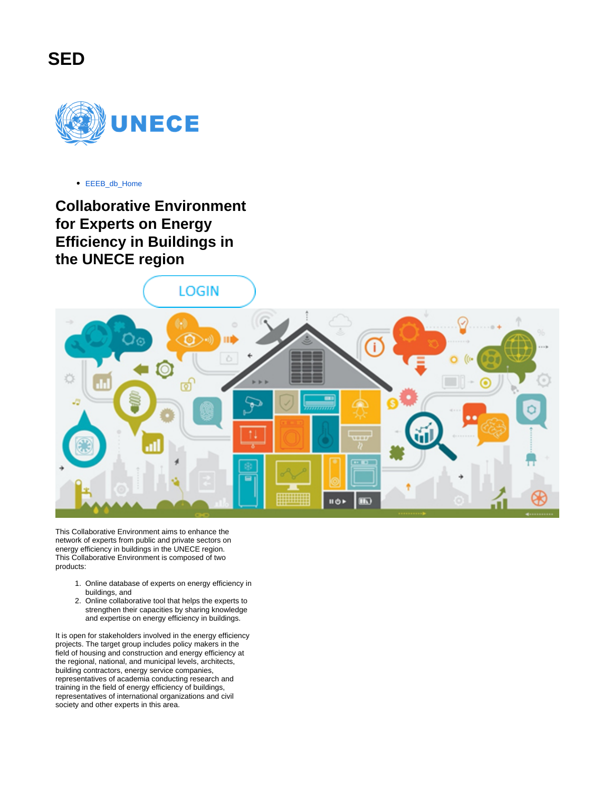



[EEEB\\_db\\_Home](https://sedwiki.unece.org/display/SED/EEEB_db_Home)

**Collaborative Environment for Experts on Energy Efficiency in Buildings in the UNECE region**

LOGIN



This Collaborative Environment aims to enhance the network of experts from public and private sectors on energy efficiency in buildings in the UNECE region. This Collaborative Environment is composed of two products:

- 1. Online database of experts on energy efficiency in buildings, and
- 2. Online collaborative tool that helps the experts to strengthen their capacities by sharing knowledge and expertise on energy efficiency in buildings.

It is open for stakeholders involved in the energy efficiency projects. The target group includes policy makers in the field of housing and construction and energy efficiency at the regional, national, and municipal levels, architects, building contractors, energy service companies, representatives of academia conducting research and training in the field of energy efficiency of buildings, representatives of international organizations and civil society and other experts in this area.